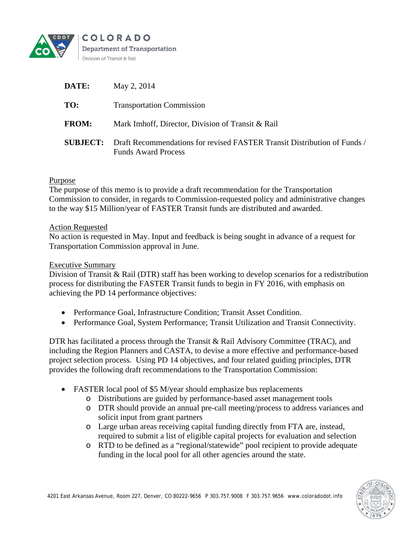

| DATE:        | May 2, 2014                                                                                                            |
|--------------|------------------------------------------------------------------------------------------------------------------------|
| TO:          | <b>Transportation Commission</b>                                                                                       |
| <b>FROM:</b> | Mark Imhoff, Director, Division of Transit & Rail                                                                      |
|              | <b>SUBJECT:</b> Draft Recommendations for revised FASTER Transit Distribution of Funds /<br><b>Funds Award Process</b> |

# Purpose

The purpose of this memo is to provide a draft recommendation for the Transportation Commission to consider, in regards to Commission-requested policy and administrative changes to the way \$15 Million/year of FASTER Transit funds are distributed and awarded.

## Action Requested

No action is requested in May. Input and feedback is being sought in advance of a request for Transportation Commission approval in June.

## Executive Summary

Division of Transit & Rail (DTR) staff has been working to develop scenarios for a redistribution process for distributing the FASTER Transit funds to begin in FY 2016, with emphasis on achieving the PD 14 performance objectives:

- Performance Goal, Infrastructure Condition; Transit Asset Condition.
- Performance Goal, System Performance; Transit Utilization and Transit Connectivity.

DTR has facilitated a process through the Transit & Rail Advisory Committee (TRAC), and including the Region Planners and CASTA, to devise a more effective and performance-based project selection process. Using PD 14 objectives, and four related guiding principles, DTR provides the following draft recommendations to the Transportation Commission:

- FASTER local pool of \$5 M/year should emphasize bus replacements
	- o Distributions are guided by performance-based asset management tools
	- o DTR should provide an annual pre-call meeting/process to address variances and solicit input from grant partners
	- o Large urban areas receiving capital funding directly from FTA are, instead, required to submit a list of eligible capital projects for evaluation and selection
	- o RTD to be defined as a "regional/statewide" pool recipient to provide adequate funding in the local pool for all other agencies around the state.

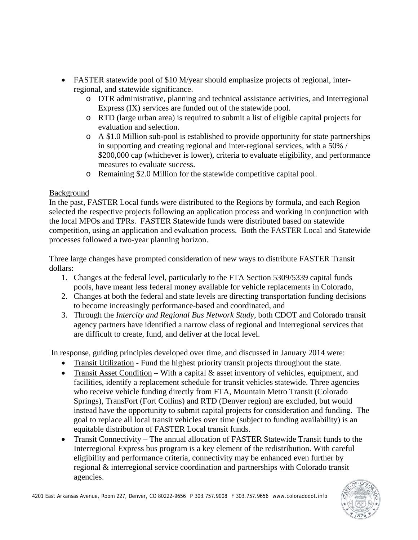- FASTER statewide pool of \$10 M/year should emphasize projects of regional, interregional, and statewide significance.
	- o DTR administrative, planning and technical assistance activities, and Interregional Express (IX) services are funded out of the statewide pool.
	- o RTD (large urban area) is required to submit a list of eligible capital projects for evaluation and selection.
	- o A \$1.0 Million sub-pool is established to provide opportunity for state partnerships in supporting and creating regional and inter-regional services, with a 50% / \$200,000 cap (whichever is lower), criteria to evaluate eligibility, and performance measures to evaluate success.
	- o Remaining \$2.0 Million for the statewide competitive capital pool.

# Background

In the past, FASTER Local funds were distributed to the Regions by formula, and each Region selected the respective projects following an application process and working in conjunction with the local MPOs and TPRs. FASTER Statewide funds were distributed based on statewide competition, using an application and evaluation process. Both the FASTER Local and Statewide processes followed a two-year planning horizon.

Three large changes have prompted consideration of new ways to distribute FASTER Transit dollars:

- 1. Changes at the federal level, particularly to the FTA Section 5309/5339 capital funds pools, have meant less federal money available for vehicle replacements in Colorado,
- 2. Changes at both the federal and state levels are directing transportation funding decisions to become increasingly performance-based and coordinated, and
- 3. Through the *Intercity and Regional Bus Network Study*, both CDOT and Colorado transit agency partners have identified a narrow class of regional and interregional services that are difficult to create, fund, and deliver at the local level.

In response, guiding principles developed over time, and discussed in January 2014 were:

- Transit Utilization Fund the highest priority transit projects throughout the state.
- Transit Asset Condition With a capital  $\&$  asset inventory of vehicles, equipment, and facilities, identify a replacement schedule for transit vehicles statewide. Three agencies who receive vehicle funding directly from FTA, Mountain Metro Transit (Colorado Springs), TransFort (Fort Collins) and RTD (Denver region) are excluded, but would instead have the opportunity to submit capital projects for consideration and funding. The goal to replace all local transit vehicles over time (subject to funding availability) is an equitable distribution of FASTER Local transit funds.
- Transit Connectivity The annual allocation of FASTER Statewide Transit funds to the Interregional Express bus program is a key element of the redistribution. With careful eligibility and performance criteria, connectivity may be enhanced even further by regional & interregional service coordination and partnerships with Colorado transit agencies.